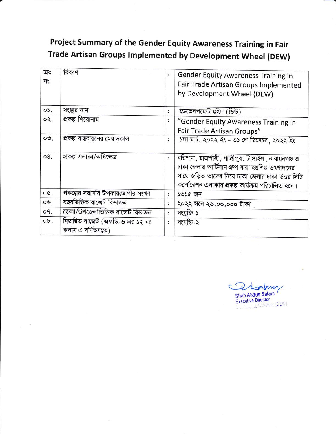## Project Summary of the Gender Equity Awareness Training in Fair Trade Artisan Groups Implemented by Development Wheel (DEW)

| ক্রঃ<br>নং      | বিবরণ                                                 |                      | <b>Gender Equity Awareness Training in</b><br>Fair Trade Artisan Groups Implemented<br>by Development Wheel (DEW)                                                                                                |
|-----------------|-------------------------------------------------------|----------------------|------------------------------------------------------------------------------------------------------------------------------------------------------------------------------------------------------------------|
| $0$ .           | সংস্থার নাম                                           | $\ddot{\phantom{a}}$ | ডেভেলপমেন্ট হুইল (ডিউ)                                                                                                                                                                                           |
| ०२.             | প্রকল্প শিরোনাম                                       | $\ddot{\cdot}$       | "Gender Equity Awareness Training in<br>Fair Trade Artisan Groups"                                                                                                                                               |
| $\circ \circ$ . | প্রকল্প বাস্তবায়নের মেয়াদকাল                        | ÷                    | ১লা মাৰ্চ, ২০২২ ইং - ৩১ শে ডিসেম্বর, ২০২২ ইং                                                                                                                                                                     |
| 08.             | প্ৰকল্প এলাকা/অধিক্ষেত্ৰ                              | $\ddot{\cdot}$       | বরিশাল, রাজশাহী, গাজীপুর, টাঙ্গাইল, নারায়নগঞ্জ ও<br>ঢাকা জেলার আর্টিসান গ্রুপ যারা হস্তশিল্প উৎপাদনের<br>সাথে জড়িত তাদের নিয়ে ঢাকা জেলার ঢাকা উত্তর সিটি<br>কর্পোরেশন এলাকায় প্রকল্প কার্যক্রম পরিচালিত হবে। |
| OQ.             | প্রকল্পের সরাসরি উপকারভোগীর সংখ্যা                    | $\ddot{\cdot}$       | ১৩১৫ জন                                                                                                                                                                                                          |
| 09.             | বছরভিত্তিক বাজেট বিভাজন                               | ÷                    | ২০২২ সনে ২৬,০০,০০০ টাকা                                                                                                                                                                                          |
| 09.             | জেলা/উপজেলাভিত্তিক বাজেট বিভাজন                       | $\ddot{\cdot}$       | সংযুক্তি-১                                                                                                                                                                                                       |
| ob.             | বিস্তারিত বাজেট (এফডি-৬ এর ১২ নং<br>কলাম এ বর্ণিতমতে) | $\ddot{\cdot}$       | সংযুক্তি-২                                                                                                                                                                                                       |

Lam Shah Abdus Salam **Executive Director** Service Street (CEW)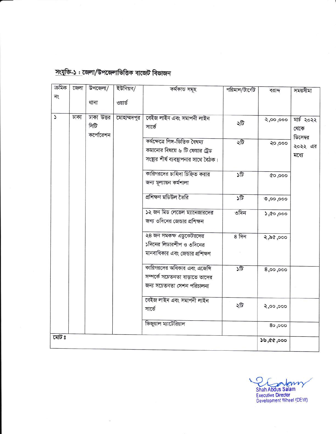| ক্ৰমিক | জেলা | উপজেলা/                         | ইউনিয়ন/    | কৰ্মকান্ত সমূহ                                                                                              | পরিমান/টার্গেট     | বরাদ্দ     | সময়সীমা                     |
|--------|------|---------------------------------|-------------|-------------------------------------------------------------------------------------------------------------|--------------------|------------|------------------------------|
| ন্     |      | থানা                            | ওয়ার্ড     |                                                                                                             |                    |            |                              |
| J      | ঢাকা | ঢাকা উত্তর<br>সিটি<br>কর্পোরেশন | মোহাম্মদপুর | বেইজ লাইন এবং সমাপনী লাইন<br>সার্ভে                                                                         | ২টি                | 00,000,    | মার্চ ২০২২<br>খেকে           |
|        |      |                                 |             | কৰ্মক্ষেত্ৰে লিঙ্গ-ভিত্তিক বৈষম্য<br>কমানোর বিষয়ে ৬ টি ফেয়ার ট্রেড<br>সংছার শীর্ষ ব্যবস্থাপনার সাথে বৈঠক। | ২টি                | २०,०००     | ডিসেম্বর<br>২০২২ এর<br>মধ্যে |
|        |      |                                 |             | কারিগরদের চাহিদা চিহ্নিত করার<br>জন্য মূল্যায়ন কর্মশালা                                                    | ১টি                | 000,000    |                              |
|        |      |                                 |             | প্ৰশিক্ষণ মডিউল তৈরি                                                                                        | ১টি                | 0,00,000   |                              |
|        |      |                                 |             | ১২ জন মিড লেভেল ম্যানেজারদের<br>জন্য ৩দিনের জেন্ডার প্রশিক্ষন                                               | ৩দিন               | 3,00,000   |                              |
|        |      |                                 |             | ২৪ জন সমকক্ষ এডুকেটরদের<br>১দিনের লিডারশীপ ও ৩দিনের                                                         | $8 - \overline{9}$ | 000, 96, 5 |                              |
|        |      |                                 |             | মানবাধিকার এবং জেভার প্রশিক্ষণ                                                                              |                    |            |                              |
|        |      |                                 |             | কারিগরদের অধিকার এবং এজেন্সি<br>সম্পর্কে সচেতনতা বাড়াতে তাদের<br>জন্য সচেতনতা সেশন পরিচালনা                | ১টি                | 8,00,000   |                              |
|        |      |                                 |             | বেইজ লাইন এবং সমাপনী লাইন<br>সার্ভে                                                                         | ২টি                | 8,00,000   |                              |
|        |      |                                 |             | ভিজুয়াল ম্যাটেরিয়াল                                                                                       |                    | 80,000     |                              |
| মোট ঃ  |      |                                 |             |                                                                                                             |                    | 39,00,000  |                              |

## সংযুক্তি-১: জেলা/উপজেলাভিত্তিক বাজেট বিভাজন

C m Shah Abdus Salam<br>Executive Director<br>Development Wheel (DEW)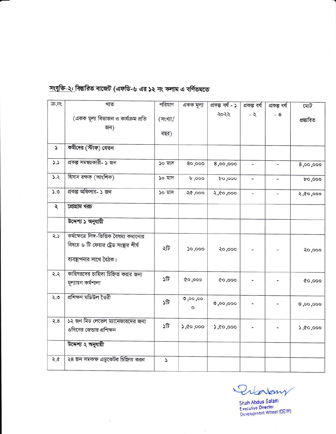| ক্ৰ.নং    | খাত                                                                                                           | পরিমাণ           | একক মূল্য          | প্ৰকল্প বৰ্ষ - ১ | প্ৰকল্প বৰ্ষ                 | প্ৰকল্প বৰ্ষ             | মোট        |
|-----------|---------------------------------------------------------------------------------------------------------------|------------------|--------------------|------------------|------------------------------|--------------------------|------------|
|           | (একক মূল্য বিভাজন ও কার্যক্রম প্রতি<br>জন)                                                                    | (সংখ্যা/<br>বছর) |                    | ২০২২             | $-2$                         | - ৩                      | প্ৰস্তাবিত |
| S         | কমীদের (স্টাফ) বেতন                                                                                           |                  |                    |                  |                              |                          |            |
| 5.5       | প্রকল্প সমন্বয়কারী- ১ জন                                                                                     | ১০ মাস           | 80,000             | 8,00,000         | $\frac{1}{2}$                |                          | 8,00,000   |
| 5.2       | হিসাব রক্ষক (আংশিক)                                                                                           | ১০ মাস           | b,000              | 000,00           | $\qquad \qquad \blacksquare$ | ۰                        | 000,00     |
| 5.0       | প্রকল্প অফিসার- ১ জন                                                                                          | ১০ মাস           | 000,99             | 0.00, 00, 5      | ÷                            | $\overline{\phantom{0}}$ | 2,00,000   |
| $\lambda$ | প্রোগ্রাম খরচ                                                                                                 |                  |                    |                  |                              |                          |            |
|           | উদ্দেশ্য ১ অনুযায়ী                                                                                           |                  |                    |                  |                              |                          |            |
| 2.5       | কর্মক্ষেত্রে লিঙ্গ-ভিত্তিক বৈষম্য কমানোর<br>বিষয়ে ৬ টি ফেয়ার ট্রেড সংষ্থার শীর্ষ<br>ব্যবস্থাপনার সাথে বৈঠক। | ২টি              | 000,000            | २०,०००           |                              |                          | २०,०००     |
| 4.2       | কারিগরদের চাহিদা চিহ্নিত করার জন্য<br>মূল্যায়ন কর্মশালা                                                      | ১টি              | 000,000            | 00,000           |                              |                          | 000,000    |
| ২.৩       | প্ৰশিক্ষণ মডিউল তৈরী                                                                                          | ১টি              | 0,00,00<br>$\circ$ | 0,00,000         |                              |                          | 0,00,000   |
| 8.5       | ১২ জন মিড লেভেল ম্যানেজারদের জন্য<br>৩দিনের জেন্ডার প্রশিক্ষন                                                 | ১টি              | 000,00,0           | 5,00,000         |                              |                          | 0,00,000   |
|           | উদ্দেশ্য ২ অনুযায়ী                                                                                           |                  |                    |                  |                              |                          |            |
| ২.৫       | ২৪ জন সমকক্ষ এডুকেটর চিহ্নিত করন                                                                              | Z                |                    |                  |                              |                          |            |

 $\bar{\omega}$ 

সংযুক্তি-২: বিষ্তারিত বাজেট (এফডি-৬ এর ১২ নং কলাম এ বর্ণিতমতে

Proven

Shah Abdus Salam<br>Executive Director<br>Development Wheel (DEW)